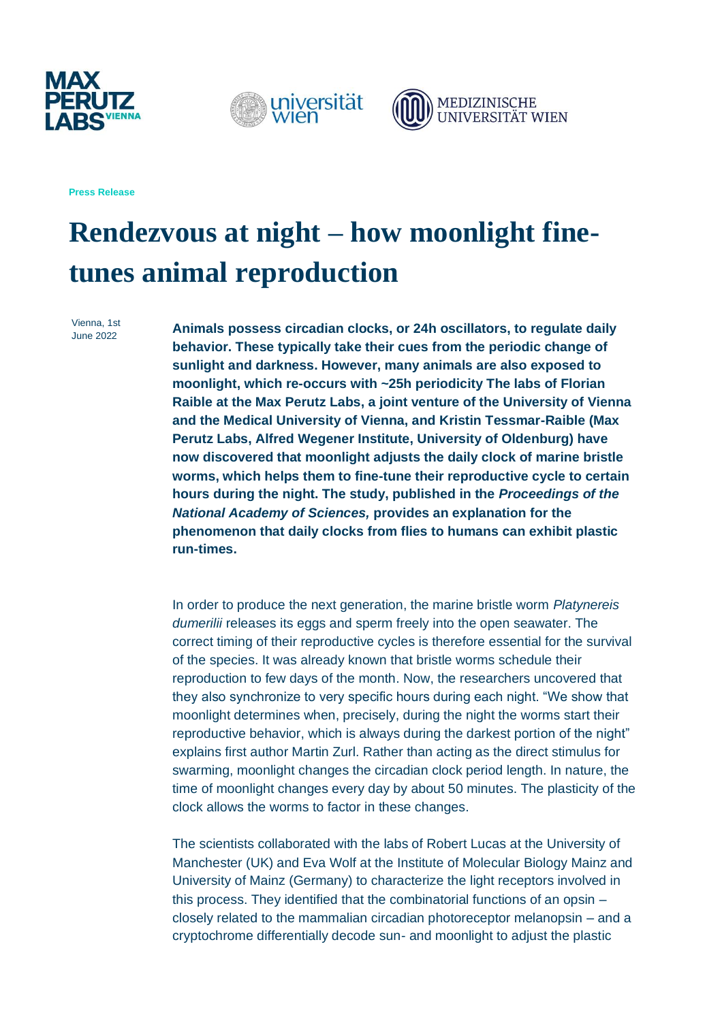





**Press Release**

# **Rendezvous at night – how moonlight finetunes animal reproduction**

Vienna, 1st June 2022

**Animals possess circadian clocks, or 24h oscillators, to regulate daily behavior. These typically take their cues from the periodic change of sunlight and darkness. However, many animals are also exposed to moonlight, which re-occurs with ~25h periodicity The labs of Florian Raible at the Max Perutz Labs, a joint venture of the University of Vienna and the Medical University of Vienna, and Kristin Tessmar-Raible (Max Perutz Labs, Alfred Wegener Institute, University of Oldenburg) have now discovered that moonlight adjusts the daily clock of marine bristle worms, which helps them to fine-tune their reproductive cycle to certain hours during the night. The study, published in the** *Proceedings of the National Academy of Sciences,* **provides an explanation for the phenomenon that daily clocks from flies to humans can exhibit plastic run-times.**

In order to produce the next generation, the marine bristle worm *Platynereis dumerilii* releases its eggs and sperm freely into the open seawater. The correct timing of their reproductive cycles is therefore essential for the survival of the species. It was already known that bristle worms schedule their reproduction to few days of the month. Now, the researchers uncovered that they also synchronize to very specific hours during each night. "We show that moonlight determines when, precisely, during the night the worms start their reproductive behavior, which is always during the darkest portion of the night" explains first author Martin Zurl. Rather than acting as the direct stimulus for swarming, moonlight changes the circadian clock period length. In nature, the time of moonlight changes every day by about 50 minutes. The plasticity of the clock allows the worms to factor in these changes.

The scientists collaborated with the labs of Robert Lucas at the University of Manchester (UK) and Eva Wolf at the Institute of Molecular Biology Mainz and University of Mainz (Germany) to characterize the light receptors involved in this process. They identified that the combinatorial functions of an opsin – closely related to the mammalian circadian photoreceptor melanopsin – and a cryptochrome differentially decode sun- and moonlight to adjust the plastic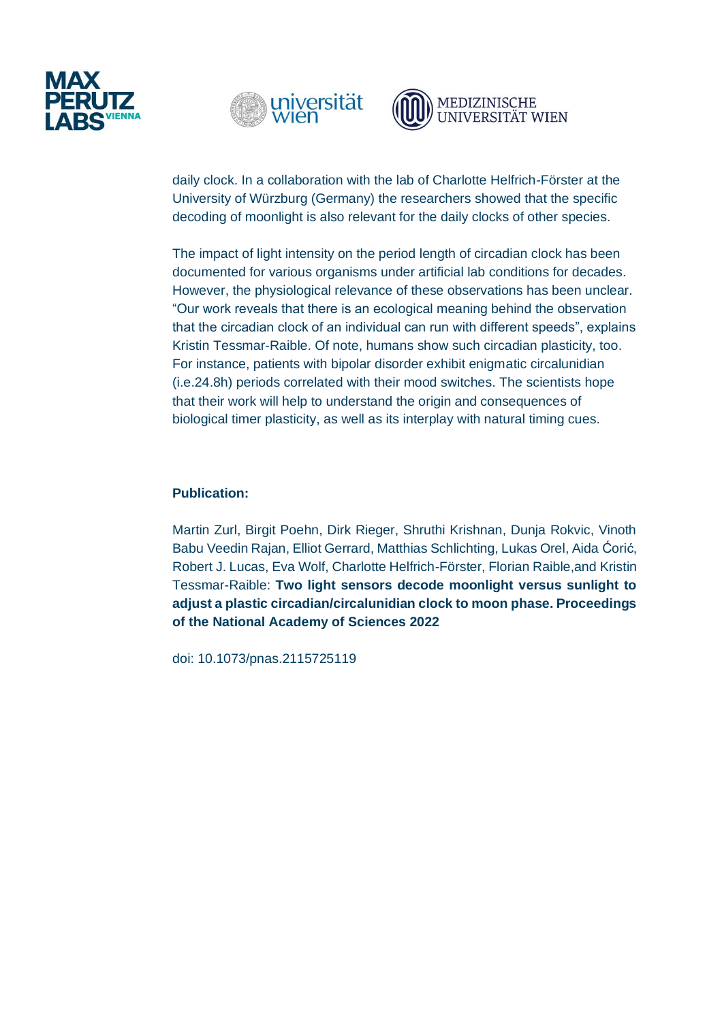





daily clock. In a collaboration with the lab of Charlotte Helfrich-Förster at the University of Würzburg (Germany) the researchers showed that the specific decoding of moonlight is also relevant for the daily clocks of other species.

The impact of light intensity on the period length of circadian clock has been documented for various organisms under artificial lab conditions for decades. However, the physiological relevance of these observations has been unclear. "Our work reveals that there is an ecological meaning behind the observation that the circadian clock of an individual can run with different speeds", explains Kristin Tessmar-Raible. Of note, humans show such circadian plasticity, too. For instance, patients with bipolar disorder exhibit enigmatic circalunidian (i.e.24.8h) periods correlated with their mood switches. The scientists hope that their work will help to understand the origin and consequences of biological timer plasticity, as well as its interplay with natural timing cues.

## **Publication:**

Martin Zurl, Birgit Poehn, Dirk Rieger, Shruthi Krishnan, Dunja Rokvic, Vinoth Babu Veedin Rajan, Elliot Gerrard, Matthias Schlichting, Lukas Orel, Aida Ćorić, Robert J. Lucas, Eva Wolf, Charlotte Helfrich-Förster, Florian Raible,and Kristin Tessmar-Raible: **Two light sensors decode moonlight versus sunlight to adjust a plastic circadian/circalunidian clock to moon phase. Proceedings of the National Academy of Sciences 2022**

doi: 10.1073/pnas.2115725119